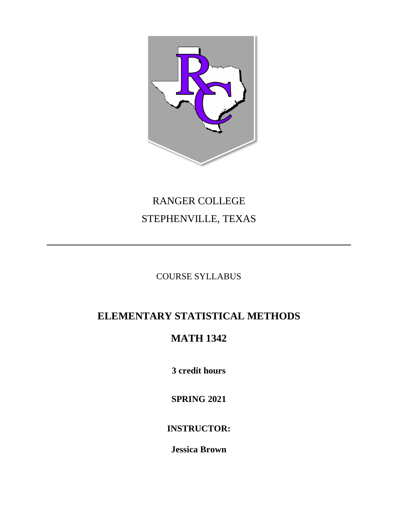

# RANGER COLLEGE STEPHENVILLE, TEXAS

# COURSE SYLLABUS

# **ELEMENTARY STATISTICAL METHODS**

# **MATH 1342**

**3 credit hours**

**SPRING 2021**

**INSTRUCTOR:**

**Jessica Brown**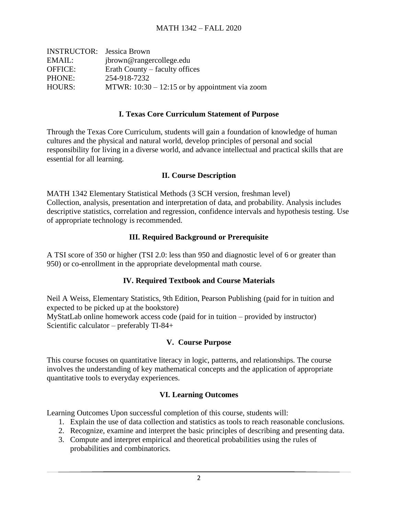| <b>INSTRUCTOR:</b> Jessica Brown |                                                  |
|----------------------------------|--------------------------------------------------|
| EMAIL:                           | jbrown@rangercollege.edu                         |
| <b>OFFICE:</b>                   | Erath County – faculty offices                   |
| PHONE:                           | 254-918-7232                                     |
| <b>HOURS:</b>                    | MTWR: $10:30 - 12:15$ or by appointment via zoom |

#### **I. Texas Core Curriculum Statement of Purpose**

Through the Texas Core Curriculum, students will gain a foundation of knowledge of human cultures and the physical and natural world, develop principles of personal and social responsibility for living in a diverse world, and advance intellectual and practical skills that are essential for all learning.

#### **II. Course Description**

MATH 1342 Elementary Statistical Methods (3 SCH version, freshman level) Collection, analysis, presentation and interpretation of data, and probability. Analysis includes descriptive statistics, correlation and regression, confidence intervals and hypothesis testing. Use of appropriate technology is recommended.

#### **III. Required Background or Prerequisite**

A TSI score of 350 or higher (TSI 2.0: less than 950 and diagnostic level of 6 or greater than 950) or co-enrollment in the appropriate developmental math course.

#### **IV. Required Textbook and Course Materials**

Neil A Weiss, Elementary Statistics, 9th Edition, Pearson Publishing (paid for in tuition and expected to be picked up at the bookstore) MyStatLab online homework access code (paid for in tuition – provided by instructor) Scientific calculator – preferably TI-84+

#### **V. Course Purpose**

This course focuses on quantitative literacy in logic, patterns, and relationships. The course involves the understanding of key mathematical concepts and the application of appropriate quantitative tools to everyday experiences.

#### **VI. Learning Outcomes**

Learning Outcomes Upon successful completion of this course, students will:

- 1. Explain the use of data collection and statistics as tools to reach reasonable conclusions.
- 2. Recognize, examine and interpret the basic principles of describing and presenting data.
- 3. Compute and interpret empirical and theoretical probabilities using the rules of probabilities and combinatorics.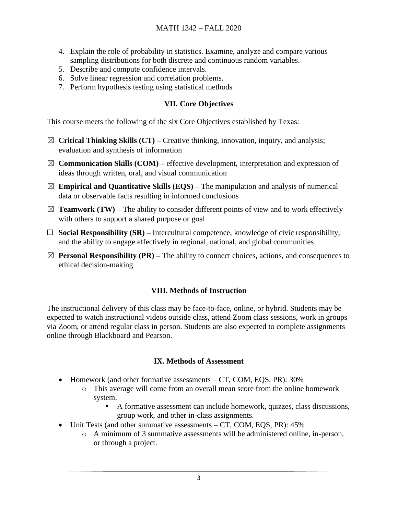- 4. Explain the role of probability in statistics. Examine, analyze and compare various sampling distributions for both discrete and continuous random variables.
- 5. Describe and compute confidence intervals.
- 6. Solve linear regression and correlation problems.
- 7. Perform hypothesis testing using statistical methods

### **VII. Core Objectives**

This course meets the following of the six Core Objectives established by Texas:

- ☒ **Critical Thinking Skills (CT) –** Creative thinking, innovation, inquiry, and analysis; evaluation and synthesis of information
- $\boxtimes$  **Communication Skills (COM)** effective development, interpretation and expression of ideas through written, oral, and visual communication
- $\boxtimes$  **Empirical and Quantitative Skills (EQS)** The manipulation and analysis of numerical data or observable facts resulting in informed conclusions
- $\boxtimes$  **Teamwork (TW)** The ability to consider different points of view and to work effectively with others to support a shared purpose or goal
- ☐ **Social Responsibility (SR) –** Intercultural competence, knowledge of civic responsibility, and the ability to engage effectively in regional, national, and global communities
- $\boxtimes$  **Personal Responsibility (PR)** The ability to connect choices, actions, and consequences to ethical decision-making

# **VIII. Methods of Instruction**

The instructional delivery of this class may be face-to-face, online, or hybrid. Students may be expected to watch instructional videos outside class, attend Zoom class sessions, work in groups via Zoom, or attend regular class in person. Students are also expected to complete assignments online through Blackboard and Pearson.

#### **IX. Methods of Assessment**

- Homework (and other formative assessments CT, COM, EQS, PR): 30%
	- o This average will come from an overall mean score from the online homework system.
		- A formative assessment can include homework, quizzes, class discussions, group work, and other in-class assignments.
- Unit Tests (and other summative assessments CT, COM, EOS, PR): 45%
	- o A minimum of 3 summative assessments will be administered online, in-person, or through a project.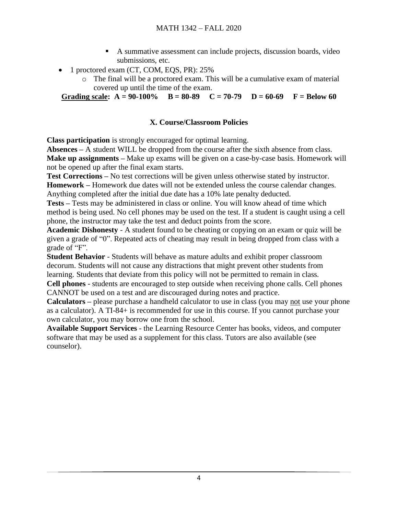- A summative assessment can include projects, discussion boards, video submissions, etc.
- 1 proctored exam (CT, COM, EQS, PR): 25%
	- o The final will be a proctored exam. This will be a cumulative exam of material covered up until the time of the exam.

**Grading scale:**  $A = 90-100\%$   $B = 80-89$   $C = 70-79$   $D = 60-69$   $F = Below 60$ 

### **X. Course/Classroom Policies**

**Class participation** is strongly encouraged for optimal learning.

**Absences –** A student WILL be dropped from the course after the sixth absence from class. **Make up assignments –** Make up exams will be given on a case-by-case basis. Homework will not be opened up after the final exam starts.

**Test Corrections –** No test corrections will be given unless otherwise stated by instructor.

**Homework –** Homework due dates will not be extended unless the course calendar changes. Anything completed after the initial due date has a 10% late penalty deducted.

**Tests –** Tests may be administered in class or online. You will know ahead of time which method is being used. No cell phones may be used on the test. If a student is caught using a cell phone, the instructor may take the test and deduct points from the score.

**Academic Dishonesty** - A student found to be cheating or copying on an exam or quiz will be given a grade of "0". Repeated acts of cheating may result in being dropped from class with a grade of "F".

**Student Behavior** - Students will behave as mature adults and exhibit proper classroom decorum. Students will not cause any distractions that might prevent other students from learning. Students that deviate from this policy will not be permitted to remain in class.

**Cell phones** - students are encouraged to step outside when receiving phone calls. Cell phones CANNOT be used on a test and are discouraged during notes and practice.

**Calculators –** please purchase a handheld calculator to use in class (you may not use your phone as a calculator). A TI-84+ is recommended for use in this course. If you cannot purchase your own calculator, you may borrow one from the school.

**Available Support Services** - the Learning Resource Center has books, videos, and computer software that may be used as a supplement for this class. Tutors are also available (see counselor).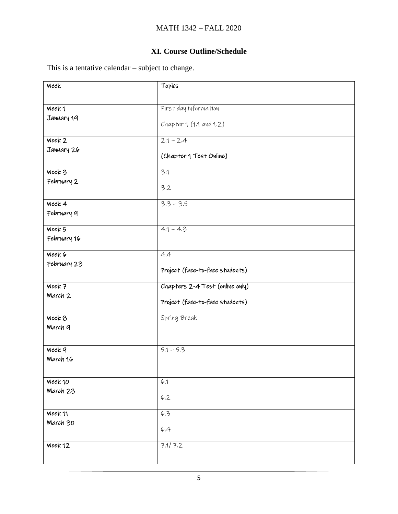# **XI. Course Outline/Schedule**

This is a tentative calendar – subject to change.

| Week                  | Topics                          |
|-----------------------|---------------------------------|
| Week1                 | First day information           |
| January 19            | Chapter 1 (1.1 and 1.2)         |
| Week 2                | $2.1 - 2.4$                     |
| January 26            | (Chapter 1 Test Online)         |
| Week 3                | 3.1                             |
| February 2            | 3.2                             |
| Week 4<br>February 9  | $3.3 - 3.5$                     |
| Week 5<br>February 16 | $4.1 - 4.3$                     |
| Week 6                | 4.4                             |
| February 23           | Project (face-to-face students) |
| Week 7                | Chapters 2-4 Test (online only) |
| March 2               | Project (face-to-face students) |
| Week 8<br>March 9     | Spring Break                    |
| Week 9<br>March 16    | $5.1 - 5.3$                     |
| Week 10               | 6.1                             |
| March 23              | 6.2                             |
| Week 11               | 6.3                             |
| March 30              | 6.4                             |
| Week 12               | 7.1/7.2                         |